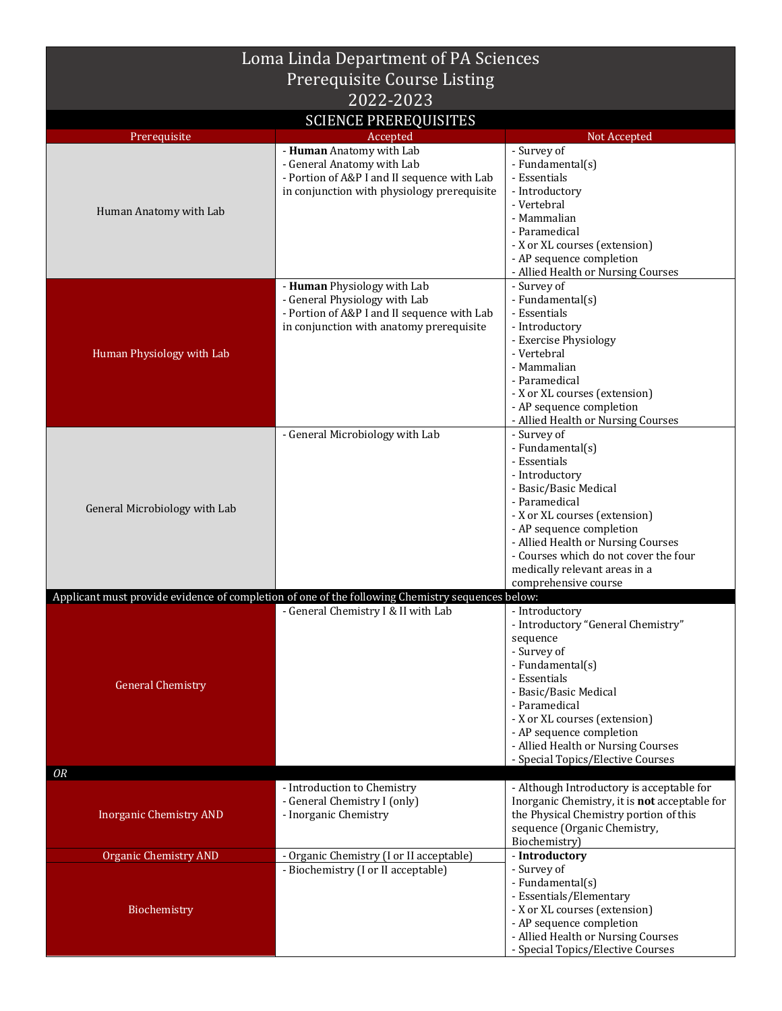| Loma Linda Department of PA Sciences         |                                                                                                                                                         |                                                                                                                                                                                                                                                                                                                  |  |
|----------------------------------------------|---------------------------------------------------------------------------------------------------------------------------------------------------------|------------------------------------------------------------------------------------------------------------------------------------------------------------------------------------------------------------------------------------------------------------------------------------------------------------------|--|
| <b>Prerequisite Course Listing</b>           |                                                                                                                                                         |                                                                                                                                                                                                                                                                                                                  |  |
| 2022-2023                                    |                                                                                                                                                         |                                                                                                                                                                                                                                                                                                                  |  |
|                                              | <b>SCIENCE PREREQUISITES</b>                                                                                                                            |                                                                                                                                                                                                                                                                                                                  |  |
| Prerequisite                                 | Accepted<br>- Human Anatomy with Lab                                                                                                                    | Not Accepted<br>- Survey of                                                                                                                                                                                                                                                                                      |  |
| Human Anatomy with Lab                       | - General Anatomy with Lab<br>- Portion of A&P I and II sequence with Lab<br>in conjunction with physiology prerequisite                                | - Fundamental(s)<br>- Essentials<br>- Introductory<br>- Vertebral<br>- Mammalian<br>- Paramedical<br>- X or XL courses (extension)<br>- AP sequence completion<br>- Allied Health or Nursing Courses                                                                                                             |  |
| Human Physiology with Lab                    | - Human Physiology with Lab<br>- General Physiology with Lab<br>- Portion of A&P I and II sequence with Lab<br>in conjunction with anatomy prerequisite | - Survey of<br>- Fundamental(s)<br>- Essentials<br>- Introductory<br>- Exercise Physiology<br>- Vertebral<br>- Mammalian<br>- Paramedical<br>- X or XL courses (extension)<br>- AP sequence completion<br>- Allied Health or Nursing Courses                                                                     |  |
| General Microbiology with Lab                | - General Microbiology with Lab                                                                                                                         | - Survey of<br>- Fundamental(s)<br>- Essentials<br>- Introductory<br>- Basic/Basic Medical<br>- Paramedical<br>- X or XL courses (extension)<br>- AP sequence completion<br>- Allied Health or Nursing Courses<br>- Courses which do not cover the four<br>medically relevant areas in a<br>comprehensive course |  |
|                                              | Applicant must provide evidence of completion of one of the following Chemistry sequences below:                                                        |                                                                                                                                                                                                                                                                                                                  |  |
| <b>General Chemistry</b>                     | - General Chemistry I & II with Lab                                                                                                                     | - Introductory<br>- Introductory "General Chemistry"<br>sequence<br>- Survey of<br>- Fundamental(s)<br>- Essentials<br>- Basic/Basic Medical<br>- Paramedical<br>- X or XL courses (extension)<br>- AP sequence completion<br>- Allied Health or Nursing Courses<br>- Special Topics/Elective Courses            |  |
| OR                                           |                                                                                                                                                         |                                                                                                                                                                                                                                                                                                                  |  |
| <b>Inorganic Chemistry AND</b>               | - Introduction to Chemistry<br>- General Chemistry I (only)<br>- Inorganic Chemistry                                                                    | - Although Introductory is acceptable for<br>Inorganic Chemistry, it is not acceptable for<br>the Physical Chemistry portion of this<br>sequence (Organic Chemistry,<br>Biochemistry)                                                                                                                            |  |
| <b>Organic Chemistry AND</b><br>Biochemistry | - Organic Chemistry (I or II acceptable)<br>- Biochemistry (I or II acceptable)                                                                         | - Introductory<br>- Survey of<br>- Fundamental(s)<br>- Essentials/Elementary<br>- X or XL courses (extension)<br>- AP sequence completion<br>- Allied Health or Nursing Courses<br>- Special Topics/Elective Courses                                                                                             |  |